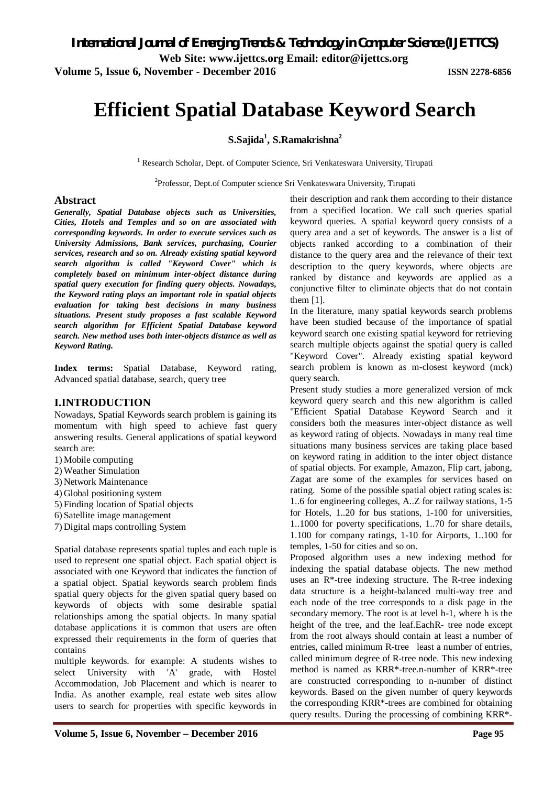**Web Site: www.ijettcs.org Email: editor@ijettcs.org** 

**Volume 5, Issue 6, November - December 2016 ISSN 2278-6856**

# **Efficient Spatial Database Keyword Search**

# **S.Sajida<sup>1</sup> , S.Ramakrishna<sup>2</sup>**

<sup>1</sup> Research Scholar, Dept. of Computer Science, Sri Venkateswara University, Tirupati

<sup>2</sup>Professor, Dept.of Computer science Sri Venkateswara University, Tirupati

#### **Abstract**

*Generally, Spatial Database objects such as Universities, Cities, Hotels and Temples and so on are associated with corresponding keywords. In order to execute services such as University Admissions, Bank services, purchasing, Courier services, research and so on. Already existing spatial keyword search algorithm is called "Keyword Cover" which is completely based on minimum inter-object distance during spatial query execution for finding query objects. Nowadays, the Keyword rating plays an important role in spatial objects evaluation for taking best decisions in many business situations. Present study proposes a fast scalable Keyword search algorithm for Efficient Spatial Database keyword search. New method uses both inter-objects distance as well as Keyword Rating.* 

**Index terms:** Spatial Database, Keyword rating, Advanced spatial database, search, query tree

# **I.INTRODUCTION**

Nowadays, Spatial Keywords search problem is gaining its momentum with high speed to achieve fast query answering results. General applications of spatial keyword search are:

- 1) Mobile computing
- 2) Weather Simulation
- 3) Network Maintenance
- 4) Global positioning system
- 5) Finding location of Spatial objects
- 6) Satellite image management
- 7) Digital maps controlling System

Spatial database represents spatial tuples and each tuple is used to represent one spatial object. Each spatial object is associated with one Keyword that indicates the function of a spatial object. Spatial keywords search problem finds spatial query objects for the given spatial query based on keywords of objects with some desirable spatial relationships among the spatial objects. In many spatial database applications it is common that users are often expressed their requirements in the form of queries that contains

multiple keywords. for example: A students wishes to select University with 'A' grade, with Hostel Accommodation, Job Placement and which is nearer to India. As another example, real estate web sites allow users to search for properties with specific keywords in

their description and rank them according to their distance from a specified location. We call such queries spatial keyword queries. A spatial keyword query consists of a query area and a set of keywords. The answer is a list of objects ranked according to a combination of their distance to the query area and the relevance of their text description to the query keywords, where objects are ranked by distance and keywords are applied as a conjunctive filter to eliminate objects that do not contain them [1].

In the literature, many spatial keywords search problems have been studied because of the importance of spatial keyword search one existing spatial keyword for retrieving search multiple objects against the spatial query is called "Keyword Cover". Already existing spatial keyword search problem is known as m-closest keyword (mck) query search.

Present study studies a more generalized version of mck keyword query search and this new algorithm is called "Efficient Spatial Database Keyword Search and it considers both the measures inter-object distance as well as keyword rating of objects. Nowadays in many real time situations many business services are taking place based on keyword rating in addition to the inter object distance of spatial objects. For example, Amazon, Flip cart, jabong, Zagat are some of the examples for services based on rating. Some of the possible spatial object rating scales is: 1..6 for engineering colleges, A..Z for railway stations, 1-5 for Hotels, 1..20 for bus stations, 1-100 for universities, 1..1000 for poverty specifications, 1..70 for share details, 1.100 for company ratings, 1-10 for Airports, 1..100 for temples, 1-50 for cities and so on.

Proposed algorithm uses a new indexing method for indexing the spatial database objects. The new method uses an R\*-tree indexing structure. The R-tree indexing data structure is a height-balanced multi-way tree and each node of the tree corresponds to a disk page in the secondary memory. The root is at level h-1, where h is the height of the tree, and the leaf.EachR- tree node except from the root always should contain at least a number of entries, called minimum R-tree least a number of entries, called minimum degree of R-tree node. This new indexing method is named as KRR\*-tree.n-number of KRR\*-tree are constructed corresponding to n-number of distinct keywords. Based on the given number of query keywords the corresponding KRR\*-trees are combined for obtaining query results. During the processing of combining KRR\*-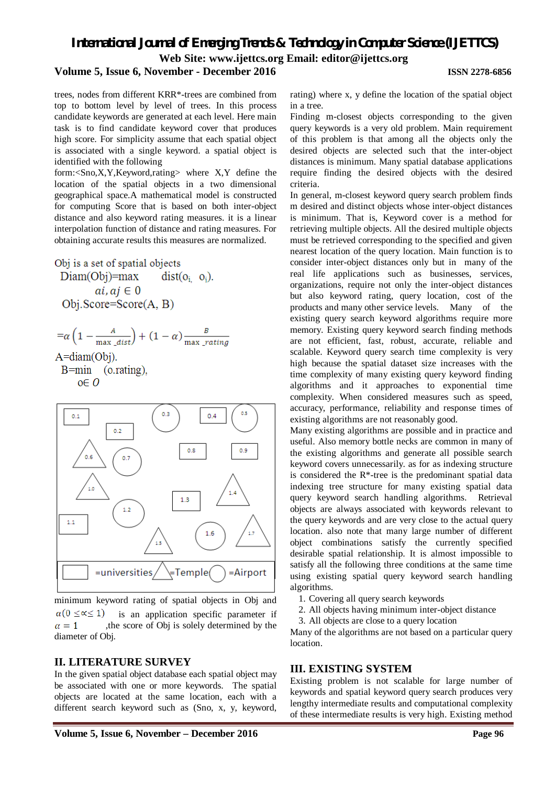# *International Journal of Emerging Trends & Technology in Computer Science (IJETTCS)* **Web Site: www.ijettcs.org Email: editor@ijettcs.org**

# **Volume 5, Issue 6, November - December 2016 ISSN 2278-6856**

trees, nodes from different KRR\*-trees are combined from top to bottom level by level of trees. In this process candidate keywords are generated at each level. Here main task is to find candidate keyword cover that produces high score. For simplicity assume that each spatial object is associated with a single keyword. a spatial object is identified with the following

form:<Sno,X,Y,Keyword,rating> where X,Y define the location of the spatial objects in a two dimensional geographical space.A mathematical model is constructed for computing Score that is based on both inter-object distance and also keyword rating measures. it is a linear interpolation function of distance and rating measures. For obtaining accurate results this measures are normalized.

Obj is a set of spatial objects

 $Diam(Obj)=max$  $dist(o_i \ o_i)$ .  $ai, aj \in 0$  $Obj.Score=Score(A, B)$ 

$$
=\alpha \left(1 - \frac{A}{\max_a dist}\right) + (1 - \alpha) \frac{B}{\max_a\_rating}
$$

 $A = diam(Obj)$ .

 $B = min$  $(0.\text{rating})$ ,  $o \in O$ 



minimum keyword rating of spatial objects in Obj and  $\alpha(0 \leq \alpha \leq 1)$  is an application specific parameter if  $\alpha = 1$ , the score of Obj is solely determined by the diameter of Obj.

# **II. LITERATURE SURVEY**

In the given spatial object database each spatial object may be associated with one or more keywords. The spatial objects are located at the same location, each with a different search keyword such as (Sno, x, y, keyword, rating) where x, y define the location of the spatial object in a tree.

Finding m-closest objects corresponding to the given query keywords is a very old problem. Main requirement of this problem is that among all the objects only the desired objects are selected such that the inter-object distances is minimum. Many spatial database applications require finding the desired objects with the desired criteria.

In general, m-closest keyword query search problem finds m desired and distinct objects whose inter-object distances is minimum. That is, Keyword cover is a method for retrieving multiple objects. All the desired multiple objects must be retrieved corresponding to the specified and given nearest location of the query location. Main function is to consider inter-object distances only but in many of the real life applications such as businesses, services, organizations, require not only the inter-object distances but also keyword rating, query location, cost of the products and many other service levels. Many of the existing query search keyword algorithms require more memory. Existing query keyword search finding methods are not efficient, fast, robust, accurate, reliable and scalable. Keyword query search time complexity is very high because the spatial dataset size increases with the time complexity of many existing query keyword finding algorithms and it approaches to exponential time complexity. When considered measures such as speed, accuracy, performance, reliability and response times of existing algorithms are not reasonably good.

Many existing algorithms are possible and in practice and useful. Also memory bottle necks are common in many of the existing algorithms and generate all possible search keyword covers unnecessarily. as for as indexing structure is considered the R\*-tree is the predominant spatial data indexing tree structure for many existing spatial data query keyword search handling algorithms. Retrieval objects are always associated with keywords relevant to the query keywords and are very close to the actual query location. also note that many large number of different object combinations satisfy the currently specified desirable spatial relationship. It is almost impossible to satisfy all the following three conditions at the same time using existing spatial query keyword search handling algorithms.

- 1. Covering all query search keywords
- 2. All objects having minimum inter-object distance
- 3. All objects are close to a query location

Many of the algorithms are not based on a particular query location.

#### **III. EXISTING SYSTEM**

Existing problem is not scalable for large number of keywords and spatial keyword query search produces very lengthy intermediate results and computational complexity of these intermediate results is very high. Existing method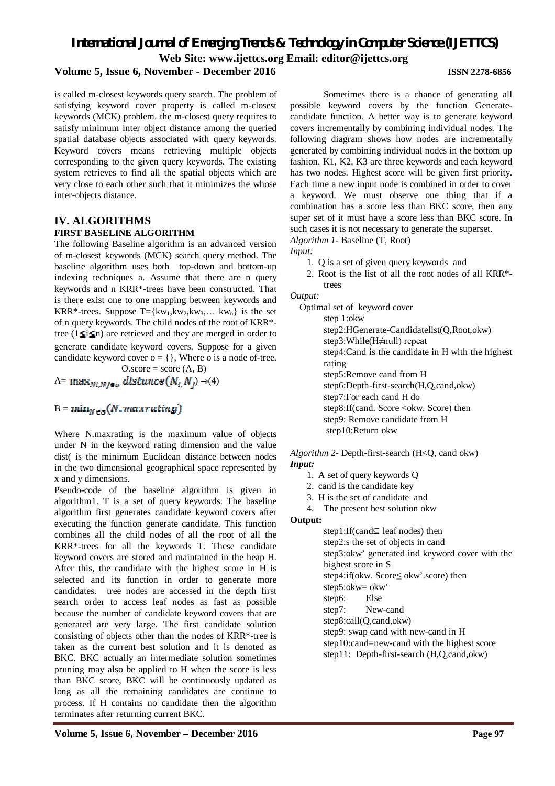# *International Journal of Emerging Trends & Technology in Computer Science (IJETTCS)* **Web Site: www.ijettcs.org Email: editor@ijettcs.org**

# **Volume 5, Issue 6, November - December 2016 ISSN 2278-6856**

is called m-closest keywords query search. The problem of satisfying keyword cover property is called m-closest keywords (MCK) problem. the m-closest query requires to satisfy minimum inter object distance among the queried spatial database objects associated with query keywords. Keyword covers means retrieving multiple objects corresponding to the given query keywords. The existing system retrieves to find all the spatial objects which are very close to each other such that it minimizes the whose inter-objects distance.

# **IV. ALGORITHMS FIRST BASELINE ALGORITHM**

The following Baseline algorithm is an advanced version of m-closest keywords (MCK) search query method. The baseline algorithm uses both top-down and bottom-up indexing techniques a. Assume that there are n query keywords and n KRR\*-trees have been constructed. That is there exist one to one mapping between keywords and KRR\*-trees. Suppose T={kw<sub>1</sub>,kw<sub>2</sub>,kw<sub>3</sub>,... kw<sub>n</sub>} is the set of n query keywords. The child nodes of the root of KRR\* tree ( $1 \leq i \leq n$ ) are retrieved and they are merged in order to generate candidate keyword covers. Suppose for a given candidate keyword cover  $o = \{\}$ , Where o is a node of-tree.  $O.score = score (A, B)$ 

A=  $\max_{N i, M j \in \mathcal{O}}$  distance  $(N_{i, N_j}) \rightarrow (4)$ 

# $B = min_{N \in \mathcal{D}}(N \cdot maxrating)$

Where N.maxrating is the maximum value of objects under N in the keyword rating dimension and the value dist( is the minimum Euclidean distance between nodes in the two dimensional geographical space represented by x and y dimensions.

Pseudo-code of the baseline algorithm is given in algorithm1. T is a set of query keywords. The baseline algorithm first generates candidate keyword covers after executing the function generate candidate. This function combines all the child nodes of all the root of all the KRR\*-trees for all the keywords T. These candidate keyword covers are stored and maintained in the heap H. After this, the candidate with the highest score in H is selected and its function in order to generate more candidates. tree nodes are accessed in the depth first search order to access leaf nodes as fast as possible because the number of candidate keyword covers that are generated are very large. The first candidate solution consisting of objects other than the nodes of KRR\*-tree is taken as the current best solution and it is denoted as BKC. BKC actually an intermediate solution sometimes pruning may also be applied to H when the score is less than BKC score, BKC will be continuously updated as long as all the remaining candidates are continue to process. If H contains no candidate then the algorithm terminates after returning current BKC.

Sometimes there is a chance of generating all possible keyword covers by the function Generatecandidate function. A better way is to generate keyword covers incrementally by combining individual nodes. The following diagram shows how nodes are incrementally generated by combining individual nodes in the bottom up fashion. K1, K2, K3 are three keywords and each keyword has two nodes. Highest score will be given first priority. Each time a new input node is combined in order to cover a keyword. We must observe one thing that if a combination has a score less than BKC score, then any super set of it must have a score less than BKC score. In such cases it is not necessary to generate the superset. *Algorithm 1*- Baseline (T, Root)

*Input:*

- 1. Q is a set of given query keywords and
- 2. Root is the list of all the root nodes of all KRR\* trees

*Output:*

Optimal set of keyword cover step 1:okw step2:HGenerate-Candidatelist(Q,Root,okw) step3:While(H≠null) repeat step4:Cand is the candidate in H with the highest rating step5:Remove cand from H step6:Depth-first-search(H,Q,cand,okw) step7:For each cand H do step8:If(cand. Score <okw. Score) then step9: Remove candidate from H step10:Return okw

*Algorithm 2-* Depth-first-search (H<Q, cand okw) *Input:*

- 1. A set of query keywords Q
- 2. cand is the candidate key
- 3. H is the set of candidate and
- 4. The present best solution okw

**Output:**

step1:If(cand⊆ leaf nodes) then step2:s the set of objects in cand step3:okw' generated ind keyword cover with the highest score in S step4:if(okw. Score≤ okw'.score) then step5:okw= okw' step6: Else step7: New-cand step8:call(Q,cand,okw) step9: swap cand with new-cand in H step10:cand=new-cand with the highest score step11: Depth-first-search (H,Q,cand,okw)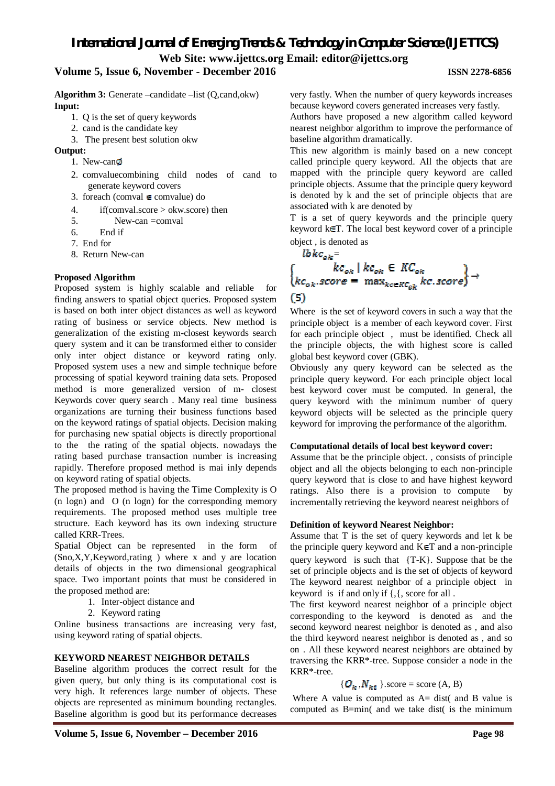**Web Site: www.ijettcs.org Email: editor@ijettcs.org** 

### **Volume 5, Issue 6, November - December 2016 ISSN 2278-6856**

Algorithm 3: Generate –candidate –list (Q,cand,okw) **Input:**

- 1. Q is the set of query keywords
- 2. cand is the candidate key
- 3. The present best solution okw

**Output:**

- 1. New-can
- 2. comvaluecombining child nodes of cand to generate keyword covers
- 3. foreach (comval  $\in$  comvalue) do
- 4. if(comval.score > okw.score) then
- 5. New-can =comval
- 6. End if
- 7. End for
- 8. Return New-can

#### **Proposed Algorithm**

Proposed system is highly scalable and reliable for finding answers to spatial object queries. Proposed system is based on both inter object distances as well as keyword rating of business or service objects. New method is generalization of the existing m-closest keywords search query system and it can be transformed either to consider only inter object distance or keyword rating only. Proposed system uses a new and simple technique before processing of spatial keyword training data sets. Proposed method is more generalized version of m- closest Keywords cover query search . Many real time business organizations are turning their business functions based on the keyword ratings of spatial objects. Decision making for purchasing new spatial objects is directly proportional to the the rating of the spatial objects. nowadays the rating based purchase transaction number is increasing rapidly. Therefore proposed method is mai inly depends on keyword rating of spatial objects.

The proposed method is having the Time Complexity is O (n logn) and O (n logn) for the corresponding memory requirements. The proposed method uses multiple tree structure. Each keyword has its own indexing structure called KRR-Trees.

Spatial Object can be represented in the form of (Sno,X,Y,Keyword,rating ) where x and y are location details of objects in the two dimensional geographical space. Two important points that must be considered in the proposed method are:

- 1. Inter-object distance and
- 2. Keyword rating

Online business transactions are increasing very fast, using keyword rating of spatial objects.

#### **KEYWORD NEAREST NEIGHBOR DETAILS**

Baseline algorithm produces the correct result for the given query, but only thing is its computational cost is very high. It references large number of objects. These objects are represented as minimum bounding rectangles. Baseline algorithm is good but its performance decreases

very fastly. When the number of query keywords increases because keyword covers generated increases very fastly.

Authors have proposed a new algorithm called keyword nearest neighbor algorithm to improve the performance of baseline algorithm dramatically.

This new algorithm is mainly based on a new concept called principle query keyword. All the objects that are mapped with the principle query keyword are called principle objects. Assume that the principle query keyword is denoted by k and the set of principle objects that are associated with k are denoted by

T is a set of query keywords and the principle query keyword k€T. The local best keyword cover of a principle object , is denoted as

 ${lbkc_{ok}} =$ <br>{  ${kc_{ok}}$  |  ${kc_{ok}}$   $\in$   ${KC_{ok}}$ <br>{ ${kc_{ok}}$  score =  $max_{k \in E{KC_{ok}}$  kc. score} (5)

Where is the set of keyword covers in such a way that the principle object is a member of each keyword cover. First for each principle object , must be identified. Check all the principle objects, the with highest score is called global best keyword cover (GBK).

Obviously any query keyword can be selected as the principle query keyword. For each principle object local best keyword cover must be computed. In general, the query keyword with the minimum number of query keyword objects will be selected as the principle query keyword for improving the performance of the algorithm.

#### **Computational details of local best keyword cover:**

Assume that be the principle object. , consists of principle object and all the objects belonging to each non-principle query keyword that is close to and have highest keyword ratings. Also there is a provision to compute by incrementally retrieving the keyword nearest neighbors of

#### **Definition of keyword Nearest Neighbor:**

Assume that T is the set of query keywords and let k be the principle query keyword and  $K \in T$  and a non-principle query keyword is such that {T-K}. Suppose that be the set of principle objects and is the set of objects of keyword The keyword nearest neighbor of a principle object in keyword is if and only if {,{, score for all .

The first keyword nearest neighbor of a principle object corresponding to the keyword is denoted as and the second keyword nearest neighbor is denoted as , and also the third keyword nearest neighbor is denoted as , and so on . All these keyword nearest neighbors are obtained by traversing the KRR\*-tree. Suppose consider a node in the KRR\*-tree.

#### ${Q_k, N_{k\bar{v}}}$ . score = score (A, B)

Where A value is computed as  $A = dist($  and B value is computed as B=min( and we take dist( is the minimum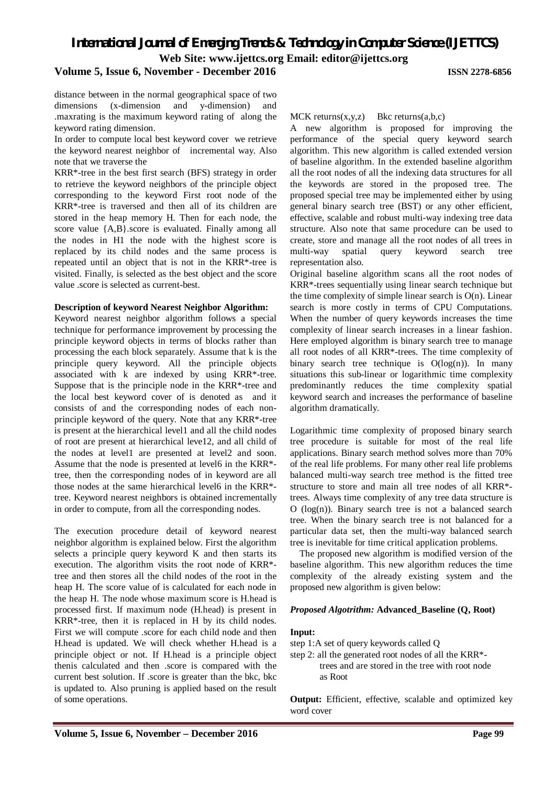**Web Site: www.ijettcs.org Email: editor@ijettcs.org** 

## **Volume 5, Issue 6, November - December 2016 ISSN 2278-6856**

distance between in the normal geographical space of two dimensions (x-dimension and y-dimension) and .maxrating is the maximum keyword rating of along the keyword rating dimension.

In order to compute local best keyword cover we retrieve the keyword nearest neighbor of incremental way. Also note that we traverse the

KRR\*-tree in the best first search (BFS) strategy in order to retrieve the keyword neighbors of the principle object corresponding to the keyword First root node of the KRR\*-tree is traversed and then all of its children are stored in the heap memory H. Then for each node, the score value {A,B}.score is evaluated. Finally among all the nodes in H1 the node with the highest score is replaced by its child nodes and the same process is repeated until an object that is not in the KRR\*-tree is visited. Finally, is selected as the best object and the score value .score is selected as current-best.

#### **Description of keyword Nearest Neighbor Algorithm:**

Keyword nearest neighbor algorithm follows a special technique for performance improvement by processing the principle keyword objects in terms of blocks rather than processing the each block separately. Assume that k is the principle query keyword. All the principle objects associated with k are indexed by using KRR\*-tree. Suppose that is the principle node in the KRR\*-tree and the local best keyword cover of is denoted as and it consists of and the corresponding nodes of each nonprinciple keyword of the query. Note that any KRR\*-tree is present at the hierarchical level1 and all the child nodes of root are present at hierarchical leve12, and all child of the nodes at level1 are presented at level2 and soon. Assume that the node is presented at level6 in the KRR\* tree, then the corresponding nodes of in keyword are all those nodes at the same hierarchical level6 in the KRR\* tree. Keyword nearest neighbors is obtained incrementally in order to compute, from all the corresponding nodes.

The execution procedure detail of keyword nearest neighbor algorithm is explained below. First the algorithm selects a principle query keyword K and then starts its execution. The algorithm visits the root node of KRR\* tree and then stores all the child nodes of the root in the heap H. The score value of is calculated for each node in the heap H. The node whose maximum score is H.head is processed first. If maximum node (H.head) is present in KRR\*-tree, then it is replaced in H by its child nodes. First we will compute .score for each child node and then H.head is updated. We will check whether H.head is a principle object or not. If H.head is a principle object thenis calculated and then .score is compared with the current best solution. If .score is greater than the bkc, bkc is updated to. Also pruning is applied based on the result of some operations.

MCK returns $(x,y,z)$  Bkc returns $(a,b,c)$ 

A new algorithm is proposed for improving the performance of the special query keyword search algorithm. This new algorithm is called extended version of baseline algorithm. In the extended baseline algorithm all the root nodes of all the indexing data structures for all the keywords are stored in the proposed tree. The proposed special tree may be implemented either by using general binary search tree (BST) or any other efficient, effective, scalable and robust multi-way indexing tree data structure. Also note that same procedure can be used to create, store and manage all the root nodes of all trees in multi-way spatial query keyword search tree representation also.

Original baseline algorithm scans all the root nodes of KRR\*-trees sequentially using linear search technique but the time complexity of simple linear search is O(n). Linear search is more costly in terms of CPU Computations. When the number of query keywords increases the time complexity of linear search increases in a linear fashion. Here employed algorithm is binary search tree to manage all root nodes of all KRR\*-trees. The time complexity of binary search tree technique is  $O(log(n))$ . In many situations this sub-linear or logarithmic time complexity predominantly reduces the time complexity spatial keyword search and increases the performance of baseline algorithm dramatically.

Logarithmic time complexity of proposed binary search tree procedure is suitable for most of the real life applications. Binary search method solves more than 70% of the real life problems. For many other real life problems balanced multi-way search tree method is the fitted tree structure to store and main all tree nodes of all KRR\* trees. Always time complexity of any tree data structure is O (log(n)). Binary search tree is not a balanced search tree. When the binary search tree is not balanced for a particular data set, then the multi-way balanced search tree is inevitable for time critical application problems.

The proposed new algorithm is modified version of the baseline algorithm. This new algorithm reduces the time complexity of the already existing system and the proposed new algorithm is given below:

#### *Proposed Algotrithm:* **Advanced\_Baseline (Q, Root)**

#### **Input:**

step 1:A set of query keywords called Q

step 2: all the generated root nodes of all the KRR\* trees and are stored in the tree with root node as Root

**Output:** Efficient, effective, scalable and optimized key word cover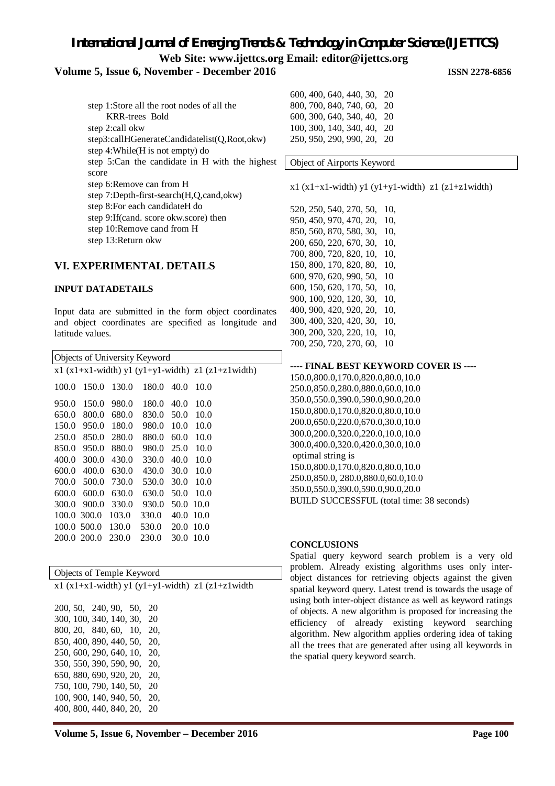**Web Site: www.ijettcs.org Email: editor@ijettcs.org** 

# **Volume 5, Issue 6, November - December 2016 ISSN 2278-6856**

| step 1:Store all the root nodes of all the     |
|------------------------------------------------|
| <b>KRR-trees Bold</b>                          |
| step 2:call okw                                |
| step3:callHGenerateCandidatelist(Q,Root,okw)   |
| step 4: While (H is not empty) do              |
| step 5:Can the candidate in H with the highest |
| score                                          |
| step 6: Remove can from H                      |
| step 7:Depth-first-search(H,Q,cand,okw)        |
| step 8: For each candidate H do                |
| step 9: If (cand. score okw.score) then        |
| step 10:Remove cand from H                     |
| step 13: Return okw                            |

#### **VI. EXPERIMENTAL DETAILS**

#### **INPUT DATADETAILS**

Input data are submitted in the form object coordinates and object coordinates are specified as longitude and latitude values.

| Objects of University Keyword |       |       |       |      |                                                    |  |
|-------------------------------|-------|-------|-------|------|----------------------------------------------------|--|
|                               |       |       |       |      | $x1(x1+x1-width)$ y1 (y1+y1-width) z1 (z1+z1width) |  |
| 100.0                         | 150.0 | 130.0 | 180.0 | 40.0 | 10.0                                               |  |
| 950.0                         | 150.0 | 980.0 | 180.0 | 40.0 | 10.0                                               |  |
| 650.0                         | 800.0 | 680.0 | 830.0 | 50.0 | 10.0                                               |  |
| 150.0                         | 950.0 | 180.0 | 980.0 | 10.0 | 10.0                                               |  |
| 250.0                         | 850.0 | 280.0 | 880.0 | 60.0 | 10.0                                               |  |
| 850.0                         | 950.0 | 880.0 | 980.0 | 25.0 | 10.0                                               |  |
| 400.0                         | 300.0 | 430.0 | 330.0 | 40.0 | 10.0                                               |  |
| 600.0                         | 400.0 | 630.0 | 430.0 | 30.0 | 10.0                                               |  |
| 700.0                         | 500.0 | 730.0 | 530.0 | 30.0 | 10.0                                               |  |
| 600.0                         | 600.0 | 630.0 | 630.0 | 50.0 | 10.0                                               |  |
| 300.0                         | 900.0 | 330.0 | 930.0 | 50.0 | 10.0                                               |  |
| 100.0                         | 300.0 | 103.0 | 330.0 | 40.0 | 10.0                                               |  |
| 100.0                         | 500.0 | 130.0 | 530.0 | 20.0 | 10.0                                               |  |
| 200.0                         | 200.0 | 230.0 | 230.0 | 30.0 | 10.0                                               |  |

| Objects of Temple Keyword   |                                                   |
|-----------------------------|---------------------------------------------------|
|                             | $x1(x1+x1-width)$ y1 (y1+y1-width) z1 (z1+z1width |
|                             |                                                   |
| 200, 50, 240, 90, 50, 20    |                                                   |
| 300, 100, 340, 140, 30, 20  |                                                   |
| 800, 20, 840, 60, 10, 20,   |                                                   |
| 850, 400, 890, 440, 50, 20, |                                                   |
| 250, 600, 290, 640, 10, 20, |                                                   |
| 350, 550, 390, 590, 90, 20, |                                                   |
| 650, 880, 690, 920, 20, 20, |                                                   |
| 750, 100, 790, 140, 50, 20  |                                                   |
| 100, 900, 140, 940, 50, 20, |                                                   |
| 400, 800, 440, 840, 20, 20  |                                                   |

600, 400, 640, 440, 30, 20 800, 700, 840, 740, 60, 20 600, 300, 640, 340, 40, 20 100, 300, 140, 340, 40, 20 250, 950, 290, 990, 20, 20

Object of Airports Keyword

 $x1 (x1+x1-width) y1 (y1+y1-width) z1 (z1+z1width)$ 

520, 250, 540, 270, 50, 10, 950, 450, 970, 470, 20, 10, 850, 560, 870, 580, 30, 10, 200, 650, 220, 670, 30, 10, 700, 800, 720, 820, 10, 10, 150, 800, 170, 820, 80, 10, 600, 970, 620, 990, 50, 10 600, 150, 620, 170, 50, 10, 900, 100, 920, 120, 30, 10, 400, 900, 420, 920, 20, 10, 300, 400, 320, 420, 30, 10, 300, 200, 320, 220, 10, 10, 700, 250, 720, 270, 60, 10

---- **FINAL BEST KEYWORD COVER IS** ----

150.0,800.0,170.0,820.0,80.0,10.0 250.0,850.0,280.0,880.0,60.0,10.0 350.0,550.0,390.0,590.0,90.0,20.0 150.0,800.0,170.0,820.0,80.0,10.0 200.0,650.0,220.0,670.0,30.0,10.0 300.0,200.0,320.0,220.0,10.0,10.0 300.0,400.0,320.0,420.0,30.0,10.0 optimal string is 150.0,800.0,170.0,820.0,80.0,10.0 250.0,850.0, 280.0,880.0,60.0,10.0 350.0,550.0,390.0,590.0,90.0,20.0 BUILD SUCCESSFUL (total time: 38 seconds)

#### **CONCLUSIONS**

Spatial query keyword search problem is a very old problem. Already existing algorithms uses only interobject distances for retrieving objects against the given spatial keyword query. Latest trend is towards the usage of using both inter-object distance as well as keyword ratings of objects. A new algorithm is proposed for increasing the efficiency of already existing keyword searching algorithm. New algorithm applies ordering idea of taking all the trees that are generated after using all keywords in the spatial query keyword search.